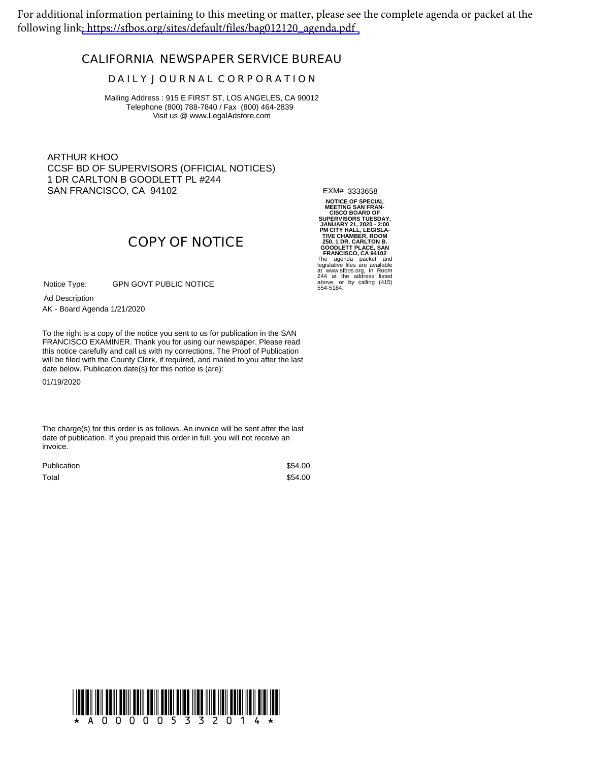For additional information pertaining to this meeting or matter, please see the complete agenda or packet at the following link[: https://sfbos.org/sites/default/files/bag012120\\_agenda.pdf](https://sfbos.org/sites/default/files/bag012120_agenda.pdf)

## **CALIFORNIA NEWSPAPER SERVICE BUREAU**

### **D A I L Y J O U R N A L C O R P O R A T I O N**

Mailing Address : 915 E FIRST ST, LOS ANGELES, CA 90012 Telephone (800) 788-7840 / Fax (800) 464-2839 Visit us @ www.LegalAdstore.com

ARTHUR KHOO CCSF BD OF SUPERVISORS (OFFICIAL NOTICES) 1 DR CARLTON B GOODLETT PL #244 SAN FRANCISCO, CA 94102

EXM# 3333658

**COPY OF NOTICE**

GPN GOVT PUBLIC NOTICE Notice Type:

AK - Board Agenda 1/21/2020 Ad Description

FRANCISCO EXAMINER. Thank you for using our newspaper. Please read<br>this notice carefully and call us with ny corrections. The Proof of Publication To the right is a copy of the notice you sent to us for publication in the SAN FRANCISCO EXAMINER. Thank you for using our newspaper. Please read will be filed with the County Clerk, if required, and mailed to you after the last date below. Publication date(s) for this notice is (are):

01/19/2020

The charge(s) for this order is as follows. An invoice will be sent after the last date of publication. If you prepaid this order in full, you will not receive an invoice.

| <b>Publication</b> | \$54.00 |
|--------------------|---------|
| Total              | \$54.00 |

NOTICE OF SPECIAL<br>MEETING SAN FRAN-<br>CISCO BOARD OF<br>JANUARY 21, 2020 - 2:00<br>PM CITY HALL, LEGISLA-<br>MOTY HALL, LEGISLA<br>250, 1 DR. CARLTON B.<br>COODLETT PLACE, SAN<br>FRANCISCO, CA 94102<br>FRANCISCO, CA 94102<br>FRANCISCO, CA 94102<br>HER at www.sfbos.org, in Room 244 at the address listed above, or by calling (415) 554-5184.